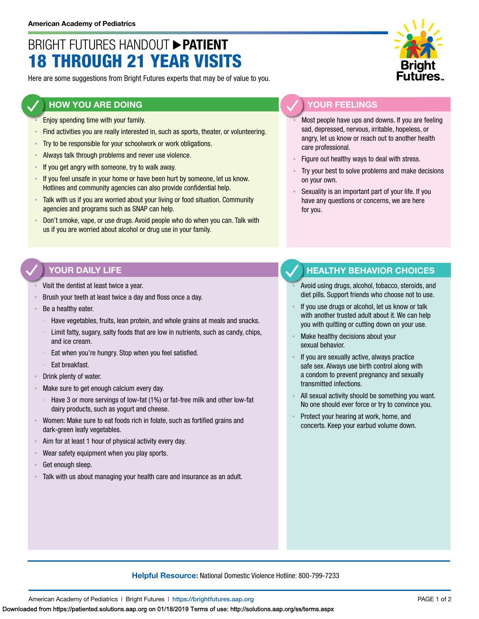# BRIGHT FUTURES HANDOUT **PATIENT** 18 THROUGH 21 YEAR VISITS

Here are some suggestions from Bright Futures experts that may be of value to you.

#### **HOW YOU ARE DOING**

- Enjoy spending time with your family.
- Find activities you are really interested in, such as sports, theater, or volunteering.
- **EXECT:** Try to be responsible for your schoolwork or work obligations.
- **EXED Always talk through problems and never use violence.**
- If you get angry with someone, try to walk away.
- **EXECT** If you feel unsafe in your home or have been hurt by someone, let us know. Hotlines and community agencies can also provide confidential help.
- **EXTE Talk with us if you are worried about your living or food situation. Community** agencies and programs such as SNAP can help.
- Don't smoke, vape, or use drugs. Avoid people who do when you can. Talk with us if you are worried about alcohol or drug use in your family.

## **YOUR FEELINGS**

Most people have ups and downs. If you are feeling sad, depressed, nervous, irritable, hopeless, or angry, let us know or reach out to another health care professional.

- Figure out healthy ways to deal with stress.
- Try your best to solve problems and make decisions on your own.
- Sexuality is an important part of your life. If you have any questions or concerns, we are here for you.

#### **YOUR DAILY LIFE**

- Visit the dentist at least twice a year.
- Brush your teeth at least twice a day and floss once a day.
- Be a healthy eater.
	- Have vegetables, fruits, lean protein, and whole grains at meals and snacks.
	- Limit fatty, sugary, salty foods that are low in nutrients, such as candy, chips, and ice cream.
	- Eat when you're hungry. Stop when you feel satisfied.
	- Eat breakfast.
- Drink plenty of water.
- Make sure to get enough calcium every day.
	- Have 3 or more servings of low-fat (1%) or fat-free milk and other low-fat dairy products, such as yogurt and cheese.
- Women: Make sure to eat foods rich in folate, such as fortified grains and dark-green leafy vegetables.
- **EXECT** Aim for at least 1 hour of physical activity every day.
- Wear safety equipment when you play sports.
- Get enough sleep.
- Talk with us about managing your health care and insurance as an adult.

### **HEALTHY BEHAVIOR CHOICES**

- Avoid using drugs, alcohol, tobacco, steroids, and diet pills. Support friends who choose not to use.
- If you use drugs or alcohol, let us know or talk with another trusted adult about it. We can help you with quitting or cutting down on your use.
- Make healthy decisions about your sexual behavior.
- If you are sexually active, always practice safe sex. Always use birth control along with a condom to prevent pregnancy and sexually transmitted infections.
- All sexual activity should be something you want. No one should ever force or try to convince you.
- Protect your hearing at work, home, and concerts. Keep your earbud volume down.

#### **Helpful Resource:** National Domestic Violence Hotline: 800-799-7233

American Academy of Pediatrics | Bright Futures | https://[brightfutures.aap.org](https://brightfutures.aap.org/Pages/default.aspx) PAGE 1 of 2